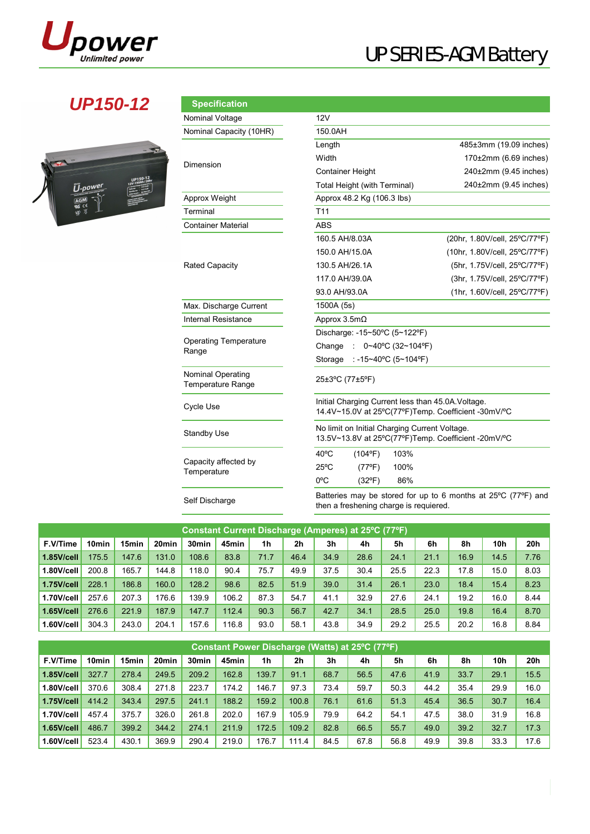

## **UP150-12 Specifical**

| œ<br>UP150-12<br><b>School College In Links</b><br>U-power<br><b>TAXABLE</b><br><b>Cyclester</b><br><b>ULSIDAY</b><br><b>Classified Wind</b><br><b>Cast Charn Club</b><br><b>MARKET</b><br><b>CONTRACTOR</b><br><b>COLUMN COVERED</b><br><b>PERSONAL PROPERTY</b><br><b>PERSONAL PROPERTY</b><br><b>CONSTRUCTION</b><br>$\overline{av}$ ce<br><b>CONTRACTOR</b><br>Ŕ |
|----------------------------------------------------------------------------------------------------------------------------------------------------------------------------------------------------------------------------------------------------------------------------------------------------------------------------------------------------------------------|
|----------------------------------------------------------------------------------------------------------------------------------------------------------------------------------------------------------------------------------------------------------------------------------------------------------------------------------------------------------------------|

| <b>Specification</b>                                 |                                            |                                                                                                           |  |  |  |  |  |  |  |  |
|------------------------------------------------------|--------------------------------------------|-----------------------------------------------------------------------------------------------------------|--|--|--|--|--|--|--|--|
| Nominal Voltage                                      | 12V                                        |                                                                                                           |  |  |  |  |  |  |  |  |
| Nominal Capacity (10HR)                              | 150.0AH                                    |                                                                                                           |  |  |  |  |  |  |  |  |
|                                                      | Length                                     | 485±3mm (19.09 inches)                                                                                    |  |  |  |  |  |  |  |  |
| Dimension                                            | Width                                      | $170\pm2$ mm (6.69 inches)                                                                                |  |  |  |  |  |  |  |  |
|                                                      | <b>Container Height</b>                    | 240±2mm (9.45 inches)                                                                                     |  |  |  |  |  |  |  |  |
|                                                      | Total Height (with Terminal)               | 240±2mm (9.45 inches)                                                                                     |  |  |  |  |  |  |  |  |
| Approx Weight                                        | Approx 48.2 Kg (106.3 lbs)                 |                                                                                                           |  |  |  |  |  |  |  |  |
| Terminal                                             | T11                                        |                                                                                                           |  |  |  |  |  |  |  |  |
| <b>Container Material</b>                            | ABS                                        |                                                                                                           |  |  |  |  |  |  |  |  |
|                                                      | 160.5 AH/8.03A                             | (20hr, 1.80V/cell, 25°C/77°F)                                                                             |  |  |  |  |  |  |  |  |
|                                                      | 150.0 AH/15.0A                             | (10hr, 1.80V/cell, 25°C/77°F)                                                                             |  |  |  |  |  |  |  |  |
| <b>Rated Capacity</b>                                | 130.5 AH/26.1A                             | (5hr, 1.75V/cell, 25°C/77°F)                                                                              |  |  |  |  |  |  |  |  |
|                                                      | 117.0 AH/39.0A                             | (3hr, 1.75V/cell, 25°C/77°F)                                                                              |  |  |  |  |  |  |  |  |
|                                                      | 93.0 AH/93.0A                              | (1hr, 1.60V/cell, 25°C/77°F)                                                                              |  |  |  |  |  |  |  |  |
| Max. Discharge Current                               | 1500A (5s)                                 |                                                                                                           |  |  |  |  |  |  |  |  |
| <b>Internal Resistance</b>                           | Approx $3.5m\Omega$                        |                                                                                                           |  |  |  |  |  |  |  |  |
|                                                      | Discharge: -15~50°C (5~122°F)              |                                                                                                           |  |  |  |  |  |  |  |  |
| <b>Operating Temperature</b><br>Range                | Change<br>0~40°C (32~104°F)<br>$\sim$      |                                                                                                           |  |  |  |  |  |  |  |  |
|                                                      | : -15~40℃ (5~104ºF)<br>Storage             |                                                                                                           |  |  |  |  |  |  |  |  |
| <b>Nominal Operating</b><br><b>Temperature Range</b> | 25±3°C (77±5°F)                            |                                                                                                           |  |  |  |  |  |  |  |  |
| Cycle Use                                            |                                            | Initial Charging Current less than 45.0A. Voltage.<br>14.4V~15.0V at 25°C(77°F)Temp. Coefficient -30mV/°C |  |  |  |  |  |  |  |  |
| <b>Standby Use</b>                                   |                                            | No limit on Initial Charging Current Voltage.<br>13.5V~13.8V at 25°C(77°F)Temp. Coefficient -20mV/°C      |  |  |  |  |  |  |  |  |
|                                                      | $40^{\circ}$ C<br>103%<br>$(104^{\circ}F)$ |                                                                                                           |  |  |  |  |  |  |  |  |
| Capacity affected by<br>Temperature                  | $25^{\circ}$ C<br>100%<br>$(77^{\circ}F)$  |                                                                                                           |  |  |  |  |  |  |  |  |
|                                                      | $0^{\circ}$ C<br>86%<br>$(32^{\circ}F)$    |                                                                                                           |  |  |  |  |  |  |  |  |
| $O = 16$ $O = 16$                                    |                                            | Batteries may be stored for up to 6 months at 25°C (77°F) and                                             |  |  |  |  |  |  |  |  |

Self Discharge Batteries may be stored for up to 6 months at 25ºC (77ºF) and then a freshening charge is requiered.

| Constant Current Discharge (Amperes) at 25°C (77°F) |       |       |       |                   |       |      |                |                |      |      |      |      |      |      |
|-----------------------------------------------------|-------|-------|-------|-------------------|-------|------|----------------|----------------|------|------|------|------|------|------|
| F.V/Time                                            | 10min | 15min | 20min | 30 <sub>min</sub> | 45min | 1h   | 2 <sub>h</sub> | 3 <sub>h</sub> | 4h   | 5h   | 6h   | 8h   | 10h  | 20h  |
| 1.85V/cell                                          | 175.5 | 147.6 | 131.0 | 108.6             | 83.8  | 71.7 | 46.4           | 34.9           | 28.6 | 24.1 | 21.1 | 16.9 | 14.5 | 7.76 |
| 1.80V/cell                                          | 200.8 | 165.7 | 144.8 | 118.0             | 90.4  | 75.7 | 49.9           | 37.5           | 30.4 | 25.5 | 22.3 | 17.8 | 15.0 | 8.03 |
| 1.75V/cell                                          | 228.1 | 186.8 | 160.0 | 128.2             | 98.6  | 82.5 | 51.9           | 39.0           | 31.4 | 26.1 | 23.0 | 18.4 | 15.4 | 8.23 |
| 1.70V/cell                                          | 257.6 | 207.3 | 176.6 | 139.9             | 106.2 | 87.3 | 54.7           | 41.1           | 32.9 | 27.6 | 24.1 | 19.2 | 16.0 | 8.44 |
| $1.65$ V/cell                                       | 276.6 | 221.9 | 187.9 | 147.7             | 112.4 | 90.3 | 56.7           | 42.7           | 34.1 | 28.5 | 25.0 | 19.8 | 16.4 | 8.70 |
| 1.60V/cell                                          | 304.3 | 243.0 | 204.1 | 157.6             | 116.8 | 93.0 | 58.1           | 43.8           | 34.9 | 29.2 | 25.5 | 20.2 | 16.8 | 8.84 |

| Constant Power Discharge (Watts) at 25 °C (77 °F) |       |       |                   |                   |       |                |       |      |      |      |      |      |      |      |
|---------------------------------------------------|-------|-------|-------------------|-------------------|-------|----------------|-------|------|------|------|------|------|------|------|
| F.V/Time                                          | 10min | 15min | 20 <sub>min</sub> | 30 <sub>min</sub> | 45min | 1 <sub>h</sub> | 2h    | 3h   | 4h   | 5h   | 6h   | 8h   | 10h  | 20h  |
| 1.85V/cell                                        | 327.7 | 278.4 | 249.5             | 209.2             | 162.8 | 139.7          | 91.1  | 68.7 | 56.5 | 47.6 | 41.9 | 33.7 | 29.1 | 15.5 |
| 1.80V/cell                                        | 370.6 | 308.4 | 271.8             | 223.7             | 174.2 | 146.7          | 97.3  | 73.4 | 59.7 | 50.3 | 44.2 | 35.4 | 29.9 | 16.0 |
| 1.75V/cell                                        | 414.2 | 343.4 | 297.5             | 241.1             | 188.2 | 159.2          | 100.8 | 76.1 | 61.6 | 51.3 | 45.4 | 36.5 | 30.7 | 16.4 |
| 1.70V/cell                                        | 457.4 | 375.7 | 326.0             | 261.8             | 202.0 | 167.9          | 105.9 | 79.9 | 64.2 | 54.1 | 47.5 | 38.0 | 31.9 | 16.8 |
| <b>1.65V/cell</b>                                 | 486.7 | 399.2 | 344.2             | 274.1             | 211.9 | 172.5          | 109.2 | 82.8 | 66.5 | 55.7 | 49.0 | 39.2 | 32.7 | 17.3 |
| 1.60V/cell                                        | 523.4 | 430.1 | 369.9             | 290.4             | 219.0 | 176.7          | 111.4 | 84.5 | 67.8 | 56.8 | 49.9 | 39.8 | 33.3 | 17.6 |